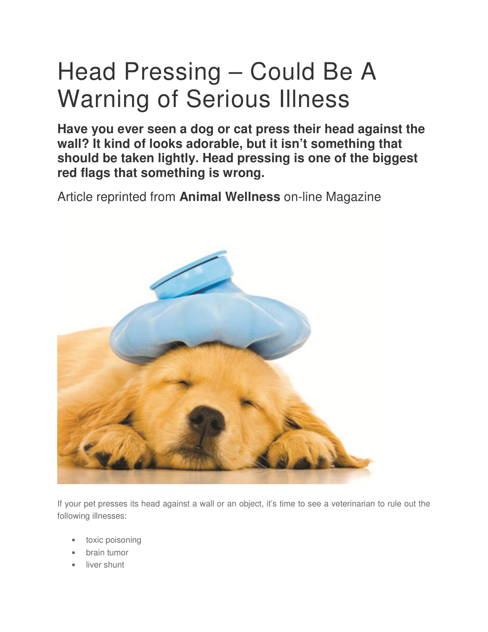# Head Pressing – Could Be A Warning of Serious Illness

**Have you ever seen a dog or cat press their head against the wall? It kind of looks adorable, but it isn't something that should be taken lightly. Head pressing is one of the biggest red flags that something is wrong.** 

Article reprinted from **Animal Wellness** on-line Magazine



If your pet presses its head against a wall or an object, it's time to see a veterinarian to rule out the following illnesses:

- toxic poisoning
- brain tumor
- liver shunt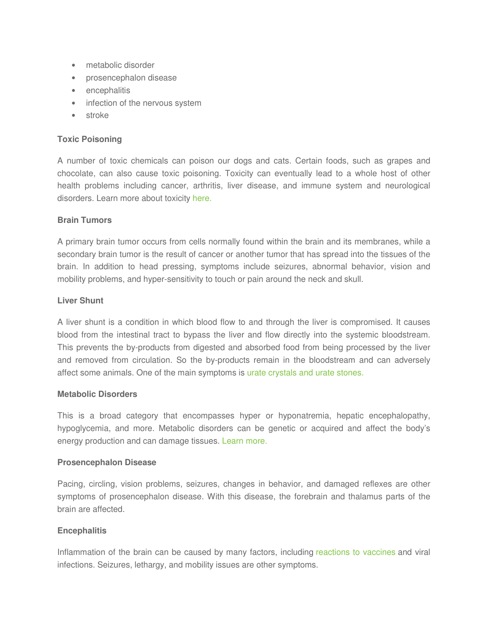- metabolic disorder
- prosencephalon disease
- encephalitis
- infection of the nervous system
- stroke

## **Toxic Poisoning**

A number of toxic chemicals can poison our dogs and cats. Certain foods, such as grapes and chocolate, can also cause toxic poisoning. Toxicity can eventually lead to a whole host of other health problems including cancer, arthritis, liver disease, and immune system and neurological disorders. Learn more about toxicity here.

### **Brain Tumors**

A primary brain tumor occurs from cells normally found within the brain and its membranes, while a secondary brain tumor is the result of cancer or another tumor that has spread into the tissues of the brain. In addition to head pressing, symptoms include seizures, abnormal behavior, vision and mobility problems, and hyper-sensitivity to touch or pain around the neck and skull.

### **Liver Shunt**

A liver shunt is a condition in which blood flow to and through the liver is compromised. It causes blood from the intestinal tract to bypass the liver and flow directly into the systemic bloodstream. This prevents the by-products from digested and absorbed food from being processed by the liver and removed from circulation. So the by-products remain in the bloodstream and can adversely affect some animals. One of the main symptoms is urate crystals and urate stones.

### **Metabolic Disorders**

This is a broad category that encompasses hyper or hyponatremia, hepatic encephalopathy, hypoglycemia, and more. Metabolic disorders can be genetic or acquired and affect the body's energy production and can damage tissues. Learn more.

#### **Prosencephalon Disease**

Pacing, circling, vision problems, seizures, changes in behavior, and damaged reflexes are other symptoms of prosencephalon disease. With this disease, the forebrain and thalamus parts of the brain are affected.

### **Encephalitis**

Inflammation of the brain can be caused by many factors, including reactions to vaccines and viral infections. Seizures, lethargy, and mobility issues are other symptoms.